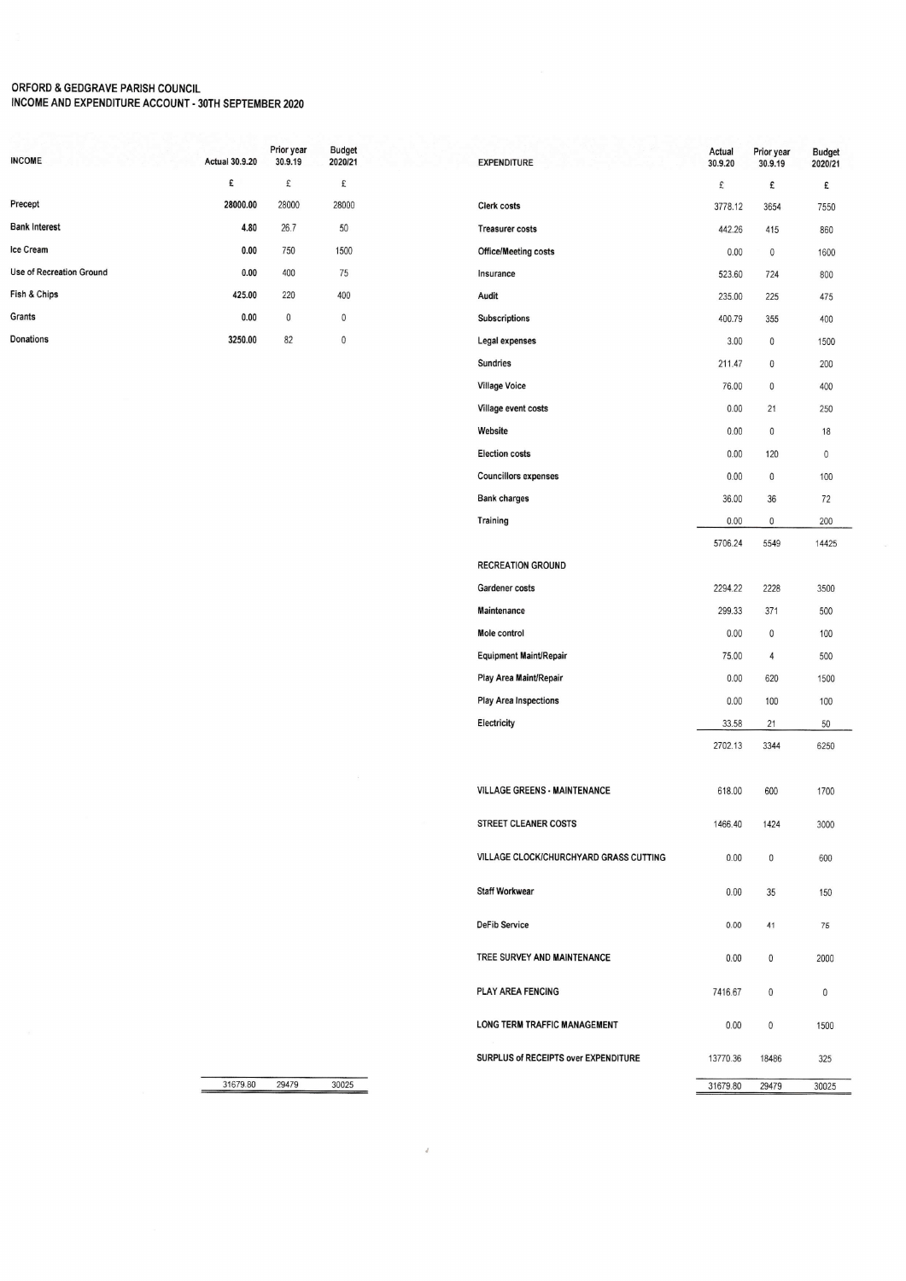## ORFORD & GEDGRAVE PARISH COUNCIL<br>INCOME AND EXPENDITURE ACCOUNT - 30TH SEPTEMBER 2020

| <b>Actual 30.9.20</b> | Prior year<br>30.9.19 | <b>Budget</b><br>2020/21 |
|-----------------------|-----------------------|--------------------------|
| £                     | £                     | £                        |
| 28000.00              | 28000                 | 28000                    |
| 4.80                  | 26.7                  | 50                       |
| 0.00                  | 750                   | 1500                     |
| 0.00                  | 400                   | 75                       |
| 425.00                | 220                   | 400                      |
| 0.00                  | 0                     | 0                        |
| 3250.00               | 82                    | 0                        |
|                       |                       |                          |

| <b>EXPENDITURE</b>                     | Actual<br>30.9.20 | Prior year<br>30.9.19 | Budget<br>2020/21 |
|----------------------------------------|-------------------|-----------------------|-------------------|
|                                        | £                 | £                     | £                 |
| <b>Clerk costs</b>                     | 3778.12           | 3654                  | 7550              |
| <b>Treasurer costs</b>                 | 442.26            | 415                   | 860               |
| <b>Office/Meeting costs</b>            | 0.00              | 0                     | 1600              |
| Insurance                              | 523.60            | 724                   | 800               |
| Audit                                  | 235.00            | 225                   | 475               |
| <b>Subscriptions</b>                   | 400.79            | 355                   | 400               |
| Legal expenses                         | 3.00              | 0                     | 1500              |
| <b>Sundries</b>                        | 211.47            | 0                     | 200               |
| <b>Village Voice</b>                   | 76.00             | 0                     | 400               |
| Village event costs                    | 0.00              | 21                    | 250               |
| Website                                | 0.00              | 0                     | 18                |
| <b>Election costs</b>                  | 0.00              | 120                   | 0                 |
| <b>Councillors expenses</b>            | 0.00              | $\mathbf{0}$          | 100               |
| <b>Bank charges</b>                    | 36.00             | 36                    | 72                |
| Training                               | 0.00              | 0                     | 200               |
|                                        | 5706.24           | 5549                  | 14425             |
| <b>RECREATION GROUND</b>               |                   |                       |                   |
| Gardener costs                         | 2294.22           | 2228                  | 3500              |
| Maintenance                            | 299.33            | 371                   | 500               |
| Mole control                           | 0.00              | 0                     | 100               |
| <b>Equipment Maint/Repair</b>          | 75.00             | 4                     | 500               |
| Play Area Maint/Repair                 | 0.00              | 620                   | 1500              |
| <b>Play Area Inspections</b>           | 0.00              | 100                   | 100               |
| Electricity                            | 33.58             | 21                    | 50                |
|                                        | 2702.13           | 3344                  | 6250              |
|                                        |                   |                       |                   |
| <b>VILLAGE GREENS - MAINTENANCE</b>    | 618.00            | 600                   | 1700              |
| STREET CLEANER COSTS                   | 1466.40           | 1424                  | 3000              |
| VILLAGE CLOCK/CHURCHYARD GRASS CUTTING | 0.00              | 0                     | 600               |
| <b>Staff Workwear</b>                  | 0.00              | 35                    | 150               |
| <b>DeFib Service</b>                   | 0.00              | 41                    | 75                |
| TREE SURVEY AND MAINTENANCE            | 0.00              | 0                     | 2000              |
| <b>PLAY AREA FENCING</b>               | 7416.67           | 0                     | 0                 |
| LONG TERM TRAFFIC MANAGEMENT           | 0.00              | 0                     | 1500              |
| SURPLUS of RECEIPTS over EXPENDITURE   | 13770.36          | 18486                 | 325               |
|                                        | 31679.80          | 29479                 | 30025             |

31679.80 29479 30025

 $\bar{d}$